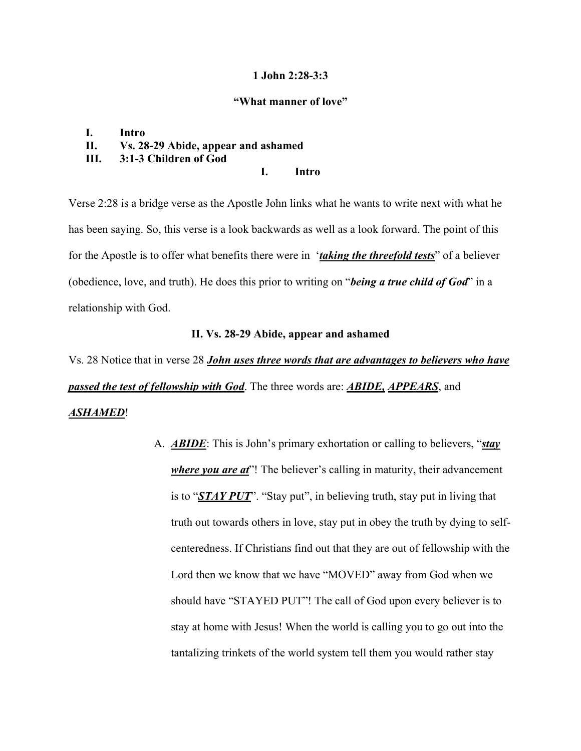### **1 John 2:28-3:3**

#### **"What manner of love"**

# **I. Intro II. Vs. 28-29 Abide, appear and ashamed III. 3:1-3 Children of God**

# **I. Intro**

Verse 2:28 is a bridge verse as the Apostle John links what he wants to write next with what he has been saying. So, this verse is a look backwards as well as a look forward. The point of this for the Apostle is to offer what benefits there were in '*taking the threefold tests*" of a believer (obedience, love, and truth). He does this prior to writing on "*being a true child of God*" in a relationship with God.

# **II. Vs. 28-29 Abide, appear and ashamed**

Vs. 28 Notice that in verse 28 *John uses three words that are advantages to believers who have passed the test of fellowship with God*. The three words are: *ABIDE, APPEARS*, and *ASHAMED*!

> A. *ABIDE*: This is John's primary exhortation or calling to believers, "*stay where you are at*"! The believer's calling in maturity, their advancement is to "*STAY PUT*". "Stay put", in believing truth, stay put in living that truth out towards others in love, stay put in obey the truth by dying to selfcenteredness. If Christians find out that they are out of fellowship with the Lord then we know that we have "MOVED" away from God when we should have "STAYED PUT"! The call of God upon every believer is to stay at home with Jesus! When the world is calling you to go out into the tantalizing trinkets of the world system tell them you would rather stay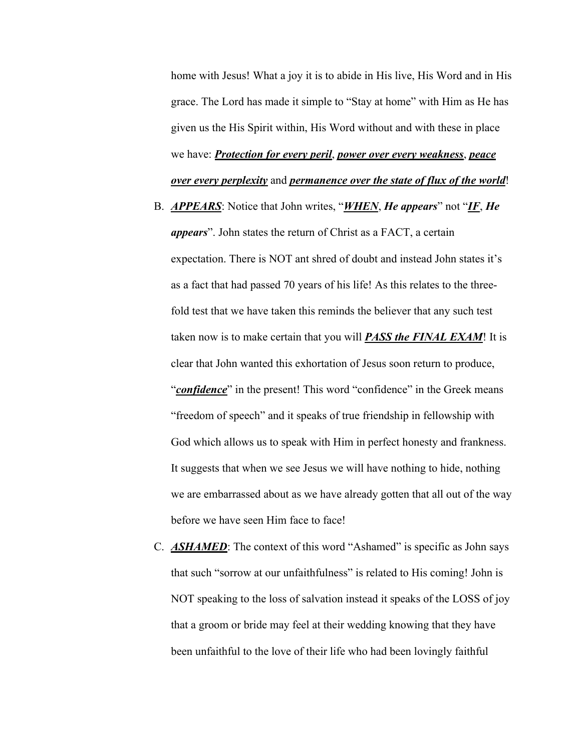home with Jesus! What a joy it is to abide in His live, His Word and in His grace. The Lord has made it simple to "Stay at home" with Him as He has given us the His Spirit within, His Word without and with these in place we have: *Protection for every peril*, *power over every weakness*, *peace over every perplexity* and *permanence over the state of flux of the world*!

- B. *APPEARS*: Notice that John writes, "*WHEN*, *He appears*" not "*IF*, *He appears*". John states the return of Christ as a FACT, a certain expectation. There is NOT ant shred of doubt and instead John states it's as a fact that had passed 70 years of his life! As this relates to the threefold test that we have taken this reminds the believer that any such test taken now is to make certain that you will *PASS the FINAL EXAM*! It is clear that John wanted this exhortation of Jesus soon return to produce, "*confidence*" in the present! This word "confidence" in the Greek means "freedom of speech" and it speaks of true friendship in fellowship with God which allows us to speak with Him in perfect honesty and frankness. It suggests that when we see Jesus we will have nothing to hide, nothing we are embarrassed about as we have already gotten that all out of the way before we have seen Him face to face!
- C. **ASHAMED**: The context of this word "Ashamed" is specific as John says that such "sorrow at our unfaithfulness" is related to His coming! John is NOT speaking to the loss of salvation instead it speaks of the LOSS of joy that a groom or bride may feel at their wedding knowing that they have been unfaithful to the love of their life who had been lovingly faithful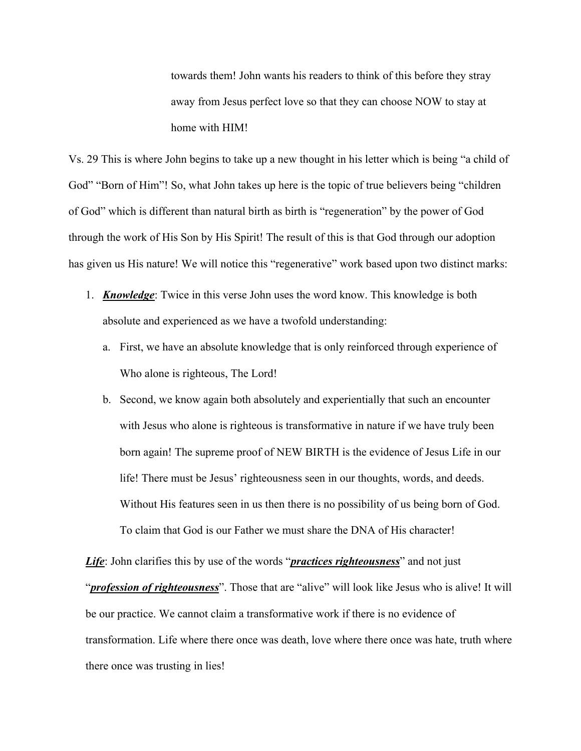towards them! John wants his readers to think of this before they stray away from Jesus perfect love so that they can choose NOW to stay at home with HIM!

Vs. 29 This is where John begins to take up a new thought in his letter which is being "a child of God" "Born of Him"! So, what John takes up here is the topic of true believers being "children of God" which is different than natural birth as birth is "regeneration" by the power of God through the work of His Son by His Spirit! The result of this is that God through our adoption has given us His nature! We will notice this "regenerative" work based upon two distinct marks:

- 1. *Knowledge*: Twice in this verse John uses the word know. This knowledge is both absolute and experienced as we have a twofold understanding:
	- a. First, we have an absolute knowledge that is only reinforced through experience of Who alone is righteous, The Lord!
	- b. Second, we know again both absolutely and experientially that such an encounter with Jesus who alone is righteous is transformative in nature if we have truly been born again! The supreme proof of NEW BIRTH is the evidence of Jesus Life in our life! There must be Jesus' righteousness seen in our thoughts, words, and deeds. Without His features seen in us then there is no possibility of us being born of God. To claim that God is our Father we must share the DNA of His character!

*Life*: John clarifies this by use of the words "*practices righteousness*" and not just "*profession of righteousness*". Those that are "alive" will look like Jesus who is alive! It will be our practice. We cannot claim a transformative work if there is no evidence of transformation. Life where there once was death, love where there once was hate, truth where there once was trusting in lies!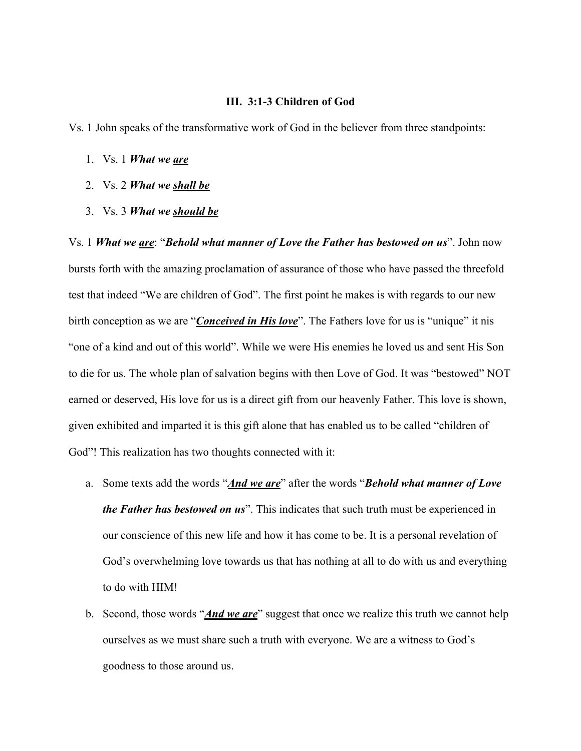### **III. 3:1-3 Children of God**

Vs. 1 John speaks of the transformative work of God in the believer from three standpoints:

- 1. Vs. 1 *What we are*
- 2. Vs. 2 *What we shall be*
- 3. Vs. 3 *What we should be*

Vs. 1 *What we are*: "*Behold what manner of Love the Father has bestowed on us*". John now bursts forth with the amazing proclamation of assurance of those who have passed the threefold test that indeed "We are children of God". The first point he makes is with regards to our new birth conception as we are "*Conceived in His love*". The Fathers love for us is "unique" it nis "one of a kind and out of this world". While we were His enemies he loved us and sent His Son to die for us. The whole plan of salvation begins with then Love of God. It was "bestowed" NOT earned or deserved, His love for us is a direct gift from our heavenly Father. This love is shown, given exhibited and imparted it is this gift alone that has enabled us to be called "children of God"! This realization has two thoughts connected with it:

- a. Some texts add the words "*And we are*" after the words "*Behold what manner of Love the Father has bestowed on us*". This indicates that such truth must be experienced in our conscience of this new life and how it has come to be. It is a personal revelation of God's overwhelming love towards us that has nothing at all to do with us and everything to do with HIM!
- b. Second, those words "*And we are*" suggest that once we realize this truth we cannot help ourselves as we must share such a truth with everyone. We are a witness to God's goodness to those around us.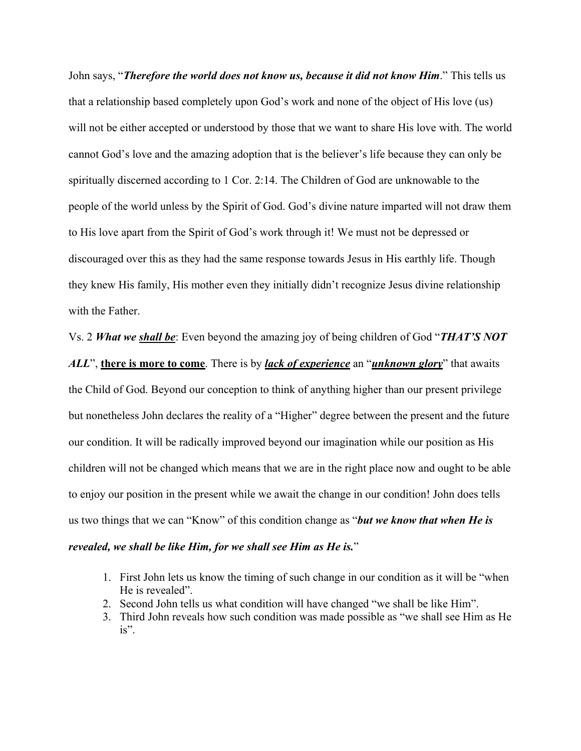John says, "*Therefore the world does not know us, because it did not know Him*." This tells us that a relationship based completely upon God's work and none of the object of His love (us) will not be either accepted or understood by those that we want to share His love with. The world cannot God's love and the amazing adoption that is the believer's life because they can only be spiritually discerned according to 1 Cor. 2:14. The Children of God are unknowable to the people of the world unless by the Spirit of God. God's divine nature imparted will not draw them to His love apart from the Spirit of God's work through it! We must not be depressed or discouraged over this as they had the same response towards Jesus in His earthly life. Though they knew His family, His mother even they initially didn't recognize Jesus divine relationship with the Father.

Vs. 2 *What we shall be*: Even beyond the amazing joy of being children of God "*THAT'S NOT* 

*ALL*", **there is more to come**. There is by *lack of experience* an "*unknown glory*" that awaits the Child of God. Beyond our conception to think of anything higher than our present privilege but nonetheless John declares the reality of a "Higher" degree between the present and the future our condition. It will be radically improved beyond our imagination while our position as His children will not be changed which means that we are in the right place now and ought to be able to enjoy our position in the present while we await the change in our condition! John does tells us two things that we can "Know" of this condition change as "*but we know that when He is revealed, we shall be like Him, for we shall see Him as He is.*"

- 1. First John lets us know the timing of such change in our condition as it will be "when He is revealed".
- 2. Second John tells us what condition will have changed "we shall be like Him".
- 3. Third John reveals how such condition was made possible as "we shall see Him as He is".